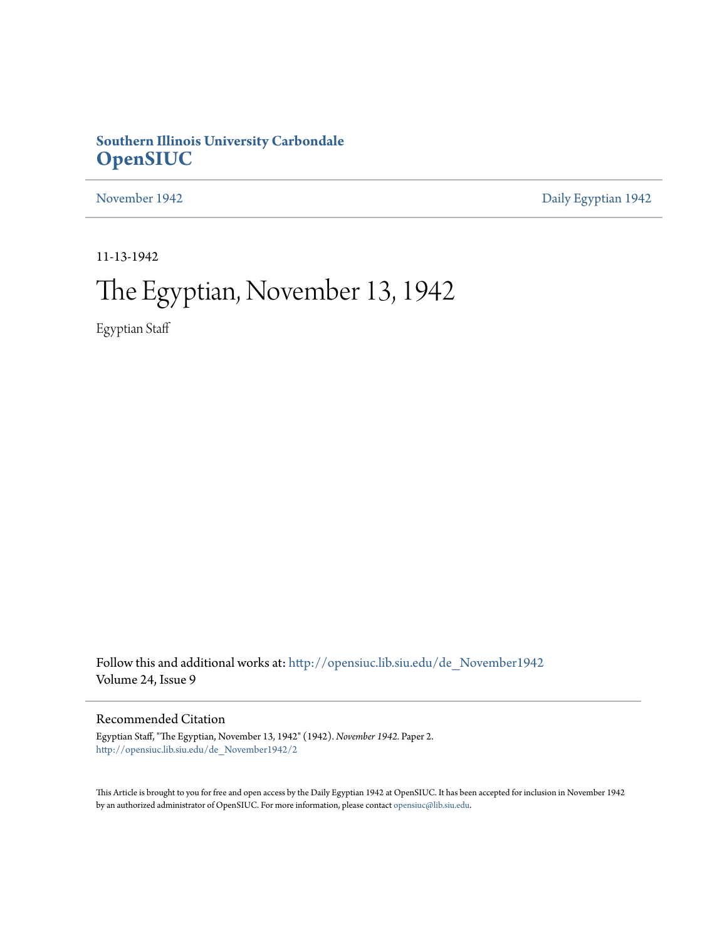# **Southern Illinois University Carbondale [OpenSIUC](http://opensiuc.lib.siu.edu?utm_source=opensiuc.lib.siu.edu%2Fde_November1942%2F2&utm_medium=PDF&utm_campaign=PDFCoverPages)**

[November 1942](http://opensiuc.lib.siu.edu/de_November1942?utm_source=opensiuc.lib.siu.edu%2Fde_November1942%2F2&utm_medium=PDF&utm_campaign=PDFCoverPages) [Daily Egyptian 1942](http://opensiuc.lib.siu.edu/de_1942?utm_source=opensiuc.lib.siu.edu%2Fde_November1942%2F2&utm_medium=PDF&utm_campaign=PDFCoverPages)

11-13-1942

# The Egyptian, November 13, 1942

Egyptian Staff

Follow this and additional works at: [http://opensiuc.lib.siu.edu/de\\_November1942](http://opensiuc.lib.siu.edu/de_November1942?utm_source=opensiuc.lib.siu.edu%2Fde_November1942%2F2&utm_medium=PDF&utm_campaign=PDFCoverPages) Volume 24, Issue 9

### Recommended Citation

Egyptian Staff, "The Egyptian, November 13, 1942" (1942). *November 1942.* Paper 2. [http://opensiuc.lib.siu.edu/de\\_November1942/2](http://opensiuc.lib.siu.edu/de_November1942/2?utm_source=opensiuc.lib.siu.edu%2Fde_November1942%2F2&utm_medium=PDF&utm_campaign=PDFCoverPages)

This Article is brought to you for free and open access by the Daily Egyptian 1942 at OpenSIUC. It has been accepted for inclusion in November 1942 by an authorized administrator of OpenSIUC. For more information, please contact [opensiuc@lib.siu.edu.](mailto:opensiuc@lib.siu.edu)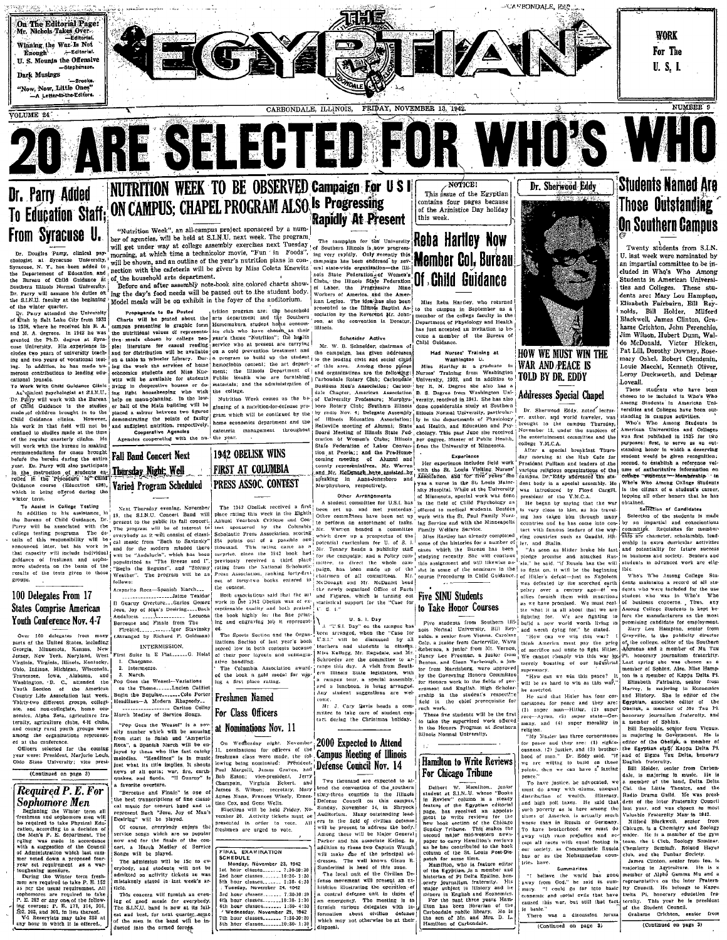

# NUTRITION WEEK TO BE OBSERVED Campaign For U S I Dr. Parry Added To Education Staff: ON CAMPUS; CHAPEL PROGRAM ALSO Is Progressing From Syracuse U.

Dr. Dougles Parry, clinical ps: chologist at synchuse one-ended to<br>the Departement of Education, and<br>the Departement of Education, and<br>the Bureau of Child Guidance at<br>Southern Illinois Normal University. . Parry will assume his duties on

the S.I.N.U. faculty at the beginning<br>of the whiter quarter.<br>Dr. Parry attended the University<br>of Utah in Salt Lake City from 1932<br>to 1938, where he received his B. A.<br>and M. A. degrees. In 1942 he was<br>granted the Ph.D. de use University. His experience in-<br>indes two years of university teach-

Child Guidance in the studies Child Gunance clinics. However,<br>his work in that field will not be<br>confined to studies made at the time<br>of the regular quarterly clinics. He<br>will work with the bureau in making recommendations for cases brought<br>before the bureau during the entire Four DE PRINCIP III also participate and the state of the state of the contract of a state in the contract of the contract of the contract of the contract of the contract of the contract of the which is when the contract o term,

whiter term.<br>
To Assist in College Testing<br>
In addition to bis anists and College Testing<br>
To Assist in College Testing<br>
the Braveau of Child Guidance, Dr. 13, the<br>
Bravey will be associated with the Theoremonic<br>
college

### 100 Delegates From 17 States Comprise American Youth Conference Nov. 4-7

100 delegates from many<br>
if the United States, including<br>
1. Minnesota, Kansas, New<br>
New York, Naryland, West<br>
New York, Naryland, West Virginia, Virginia, Illinots, Kentucky Virginia, Virginia, illinois, keatueky,<br>Ohio, Italiana, Michigan, Wisconsin, and Washington, 'D. C., attended the Washington, 'D. C., attended the Youtury Life Association and Watch Toutury Life Association last week.<br>Thir ste, and non-coneguste, nome ecu-<br>nomics, Alpha Zeta, agriculture fraternity, agriculture clubs, 4-H clubs inty rural youth groups were conference

the conterence.<br>
teers selected for the coming<br>
were: President, Marjorie Louis<br>
State University; vice presi (Continued on page 3)

**Required P.E. For** Sophomore Men

eginning the Winter term at<br>hmen and sophomore men witequired to take Physical Edu cation, according to a decision of<br>the Men's P. E. department. The

the Merke Past Baratteness and the second term of the state of the Carolina control of the Carolina control of the Carolina control of Administration which is a warmow respected for the Carolina control of the Carolina co

### "Nutrition Week", an all-campus project sponsored by a number of agencies, will be held at S.I.N.U. next week. The program

oer or agencies, will be nead at S.I.R.U. next week. The program.<br>will get under way at college assembly exercises next Tuesday of Southern Blinois is now progress-<br>morning, at which time a technicolor movie, "Fun 'in Food will get under way at conege assessment exercises ness, all  $\frac{1}{2}$  Southern Illinois is now prog<br>morning, at which time a technicolor movie, "Fun 'in Foods", ing very rapidly. Only secondly<br>will be showin, and an outli nection with the cafeteria will be given by Miss Coleta Knewitz eral state-wide organization-the Ill

Paction with the cafeteria will be given by Miss Coleta Knewitz<br>
and State Pederation-of Women's control and State Pederation-of Women's<br>
Packet Pederation of the household arts colored charts show. The illnois State Pede the S.I.N.U. faculty at the beginning Model meals will be on exhibit in the foyer of the auditorium.

Since U. free Distribution is between the parameters. The since of the since of the auditorium.<br>
The white quarter, Terry attended the University is propagand to Be Posted about the list of parameters a studies of the Sou

home economics department and the sufficient nutrition, respectively management throughou cooperative Agencies cafeteria the year.

1942 OBELISK WINS

FIRST AT COLUMBIA

PRESS ASSOC. CONTEST

ed the book a gold medal for<br>ing a first place rating.

On Wednesday night, November<br>11, nominations for officers of the<br>freshman class were made, the fol-<br>lowing being nominated: President.

FINAL EXAMINATION

7th hour classes........ 7:30-10:30<br>8th hour classes........10:30- 1:30

Tuesday, November 24.

 $1:30-4:3$ 

wis

Fall Band Concert Next Varied Program Scheduled

|<br>| Next Thursday evening, November<br>|19, the S.I.N.U. Concert Band Will present to the public its fall concert<br>The program will be of interest to as it will consist of classieverybody as it will consist of class-<br>  $\frac{1}{2}$  cal music from "Bach to Savissky"<br>
and for the modern minded there<br>  $\frac{1}{2}$  will be "Andalucia", which has been<br>
popularized as "The Breeze and 1".<br>  $\frac{1}{2}$  "Elegin th

Amparito Roca-Spanish Mi This result of the Contract of Textdue zations Section of last year's book<br>cored low in both contests because<br>if their poor layouts and unimagin-

INTERMISSION. stive handling.<br>The Columbia Association aw

March.

Freshmen Named For Class Officers "Pop Goes the Weasel" is a no at Nominations Nov. 11

ely number which will be amusing<br>from start to finish and 'Amparita<br>Roca", a Spanish March will be en-Roca", a Spanish Narch will be en-<br>joyed by thesa who like fast catchy<br>melodies. "Headlines" is in music<br>just what its title implies. It shouts<br>news of all sorts; war, fire, carth-<br>quakes, and fioods. "If Guaray" is

.<br>a favorite overture. "Berceuse and Finale" is one of "Berechse and Finate is one of the best transcriptions of fine classical music for concert band and to represent Bach "Jesu, Joy of Man's tine Cox, and Gene Wells. Desiring" will be played.

of course, overybody enjoys the service songs which are so population and for the finale of the concert. a March Medley of Service Songs will be played.

Compassion will be played.<br>The admission will be 15c to<br>erybody, and students will not<br>admitted on activity tickets as v mistakenly stated in last week's tielė.

rate.<br>This concern will furnish an even This concern will turning an even<br>in get of good music for everybody.<br>The S.I.N.U. band is now at its full-<br>est and lost, for next quarter-assume<br>of the men in the band will be in-<br>ducted into the armed forces.

# **Rapidly At Present**

son, at the convontion in Decatur **Bitnole** 

Schneider Activ

W. B. Schneider, chairman of the campaign, has given address to the leading civic and social clubs<br>of this area. Among those places<br>and organizations are the following<br>Carbondale Rotary Club; Carbondale Business Men's Association; Carbon-Chapter, American Association B. S.

coming meeting coming meeting of Alumni and<br>county representatives. Mr. Warren and Mr. McDonagh have agsisted by g in nauwwww.<br>shoro, respectively.

A student committee for U.S.I. has The 1942 Obelisk received a first The 1942 Obelisk received a first<br>phase rating this week in the Eighth Annual Yearbook Critique and Consider<br>Annual Yearbook Critique and Consider<br>Scholastic Press Association, scotting<br> $\frac{1}{554}$  points out of a possibl some set up and met yesterday.<br>
Other committees have been set up<br>
to perform an assortment of tasks.<br>
Mr. Warren headed a committee met vesterdav. meter the sustained the 1942 book had; ""... senary heads a publicity staff come or the unisories for a number of previously received a third place; for the campaign; and a Policy com- stodying received. Substitution is c potential curriculum for U 

 $\frac{1}{4}$  and engraving lob it represent:<br>  $\frac{1}{4}$  A  $\frac{1}{4}$  D. Day" on the campus based on the Cap of the Cap for the campus based of the Cap of the Cap of the Cap of the Cap of Cap of the Cap of the Cap of the Cap o Schroeder are the committee to ar rance this day. A visit from South Illinois State legislators, with r turnors state ingustators, with<br>campus tour, a special assembly,<br>d a luncheon, is being arranged.<br>y student suggestions are wel-

ome.<br>Mr. J. Cary Bavis heads a committee to take care of student con

### 2000 Expected to Attend **Campus Meeting of Illinois** Defense Council Nov. 14

owing being nominated.<br>Paul Margolli, Janes Graves, and<br>Bob Eaton; vice-president, Jerry<br>Champain, Virginia Eckert, and<br>Jemes S. Wilson; secretary, Mary<br>Agnes Mann, Frances Wisely, Ernes-Jerry<br>and Two thousand are expected to tend the convention of the southern sixty-three counties in the Illinois Defense No. Sunday, November 14, in Shryte.<br>
No. Sunday, November 14, in Shryte.<br>  $\Delta$  is a sunday outstanding lead<br>  $\Delta$  it is the field of civilian defense will be present to address the body Elections will be held Friday, No sections will be near rivery, we<br>render 20. Activity tickets nust be<br>presented in order to vote. All<br>freshmen are urged to vote. mong these will be Major General Parker and his associate Kellog. In addition to these two Cantain Waugh will make one of the principal as The well known Olean B

es. The well known Glent<br>erind is head of this zon-<br>cal unit of the Civillan<br>movement will present at hibition illustrating the operation o a central defense unit in these of<br>an emergency. The meeting is to about civilian defa formation about civilian defense<br>which may not otherwise be at their

This assue of the Egyptian ontains four pages because of the Armistice Day holiday this week

'Reba Hartlev Now **Member Col. Bureau** Of Child Guidance

Miss Reba Hartley, who returned Nias Helba Hartley, who returned<br>to the campus in September as a<br>nember of the college faculty in the<br>Department of Physiology and Health<br>has just accepted an invitation to be-<br>come a member of the Bureau of<br>Child Guidanco

Had Nurses' Training at

Had Nurses' Training at<br>
Miss Haritey is a graduate in<br>
Nirses' Training from Washington<br>
Nurses' Training from Washington<br>
University, 1933, and in addition to<br>
her R. N. Degree she also has a<br>
her R. N. Degree from Washi TOLD BY DR. EDDY of University Professors; Murphys-<sup>i</sup>versity, received in 1941. She has also<br>boro Rotary Club; Southern Illinois done considerable study at Southern sy rania Nov. 4; Delegate Assembly', illinois Normal University, particular-<br>of Hilucis Education Association; ily in the denartments of Physiology<br>Relieville meeting of Almani; State and Realth, and Education and Pay<br>Boa radio Nov. 4; Delegate Assembly Illinois Normal University, particular

Her experience includes field work<br>with the St. Louis Visiting Nurses'<br>Association, and for tive years the was a nurse in the St Louis Mater-

of Minnesota, special work was done<br>in the field of Child Phychology as offered to medical students. Besides is<br>work with the St. Paul Family Nurs-, in: with the Minneapolis

the twith famous leaders of the war-<br>ring countries such as Gaudhi, Hitsome of the histories for a number of the histories for a number of ler, and Stalin.<br>"As soon as Hitler broke his last me of the seminars in the

### **Five SINU Students** to Take Honor Courses

Figure state and the state of the state of the state of the state of the state of the state of the state of the state of the state of the state of the state of the state of the state of the state of the state of the state a consumers from Southern IIII-<br>nois Normal University, Bill Reynolds, a senior from Vienna, Carolina<br>Colp, a junior from Carterville, Wava<br>a factorism a limit of the senior from Southern Colp, a junior from Carterville, Wave<br>Reberson, a junior from Mt. Vernou<br>Nancy Lee Freeman, a junior from<br>Benton, and Glenn Yarbrough, a jun tor from Harrisburg, were approved by the Governing Honors Committee or<br>| ernme,<br>| arship | ir<br>| 14 | ir ernment and English. High Scholarthe student's respective the chief prerequisite for  $\mathbf{h}$ 

note one in the capture of the state of the first presence of the first of the supervisor of the state of the state of the state of the state of the state of the state of the state of the state of the state of the state of

# Hamilton to Write Reviews

Tot Chinese and Maritim Chinese and Maritim States and Maritim Review Column is a steady page. has received an appoint group of the Chinese and Maritim States of the Chinese Chinese and Maritim Chinese the States of the St

nstoran of Fribera Epsilon<br>pary journalism fraternity.<br>najor subject is History a major subject is History and he homomics:<br>
For the nast three years Ham-<br>
Hon has been librarian of the<br>
Hon has been librarian of the<br>
Carbondale public library. Ho is<br>
the son of Mr. and Mrs. D. L.<br>
Hamilton of Carbonda

# **Students Named Are Those Outstanding On Southern Campus**

Twenty students from S.I.N. U. last week were nominated by in impartial committee to be included in Who's Who Among<br>Students in American Universities and Colleges. These stu-<br>dents are: Mary Lou Hampton, Elizabeth Fairbairn, Bill Rey-Blackwell, James Clinton, Gra-Jim Wilson, Hubert Dunn, Wal-<br>do McDonald, Victor Hicken, Pat Lill, Dorothy Downey, Rosemary Oshel, Robert Clendenin. Louie Macchi, Kenneth Oliver, Leroy Duckworth, and Delmar Loveall.

Dovean.<br>These students who have been<br>chosen to be included in Who's Who Among Students in American Uni

Among Students in American University<br>are been out-<br>versities and Colleges have been out-<br>standing in campus activities.<br>American Universities and Colleges<br>American Universities and Colleges<br>was first published in 1935 for Dr. Sherwood Eddy, noted lecturer, author, and world traveler, was brought to the campus Thursday, November 12, under the auspices of the entertainment committee and the college Y.M.C.A.<br>After a special breakfast Thurs ences a special originate Trurs-<br>
Resident Pullam and leaders of the various religious organizations of the<br>
various religious organizations of the<br>
campus. Dr.-Eddy addressed the state-<br>
dent hody in a cardio state. student would be given recognition dent body in a special assembly. He

second, to establish a reference volume of authoritative information cotters woments. Membership. 19<br>Who's Who Among College Student<br>is the climax of a student's caree<br>topping all other honors that he has obtaine

eu.<br>Selection of Candidates

Selection of the students is made<br>y an impartial and conscientious on an inpartial and conservations of the conservation of the state of the state of the state of the state of the state of the state of the state of the state of the state of the state of the state of the state of the state in business and society. Seniors and students in advanced work are eligginning ibie

pledge promise and attacked Rus-<br>sia," he said, "if Russia has the will<br>to fight on, it will be the beginning<br>of Hitler's defeat—just as Napoleon<br>was defeated by the scorched earth ....<br>Who's Who Among College  $\begin{array}{c} \hbox{$\rm \texttt{A}$} & \hbox{Nho's Wo Anong Couge} & \hbox{sum} \\ \hbox{a} & \hbox{d} & \hbox{d} & \hbox{d} & \hbox{d} \\ \hbox{b} & \hbox{d} & \hbox{d} & \hbox{d} & \hbox{d} \\ \hbox{d} & \hbox{d} & \hbox{d} & \hbox{d} & \hbox{d} \\ \hbox{d} & \hbox{d} & \hbox{d} & \hbox{d} & \hbox{d} \\ \hbox{d} & \hbox{d} & \hbox{d} & \hbox{d} & \hbox{d} \\ \h$ ....... scorched earth<br>rentury ago-ff we<br>them with allies furnish them with munitions<br>as we have promised. We must realize what it is all about that we are fore the manufacturers as the most promising candidate for employment Mary Lou Hampton, senior from Alary Lou Hampton, sen<br>Grayville, is the publicity<br>of the college, editor of the<br>Adumnus and a member of director

of sucrifice and unite to fight Hitler Pi, honorary journalism We cannot cheaply win this war by, mercly boasting of our industrial Last spring she was chosen as a sunremacy. ton is a member of Kappa Delta Pi will be as hard to win as this way, Elizabeth Fairbairp, senior from will be as hard to win as this way." Haracept. Is majoring senior around the sate data History. It majoring in Economics of the said that History of the majoring functions of the majority of the particles of the particles

and (4) super norality in a member of Sphinx.

many, and (4) super movality in a uncher of Sphinx.<br>
Figuon. 31 and 18 and 18 and 18 and 18 and 18 and 18 and 18 and 18 and 18 and 18 and 18 and 18 and 18 and 18 and 18 and 18 and 18 of the Core and 18 and 18 constant 2.

points, then we can have a latting and the statement from Exponent paper."<br>
To have justice, be advocated, we a member of the band, Dielta Delu<br>
must do away with shame, unequal Chi. the Little Delute, and the<br>
must do awa Milford Blackwell, senior from

To mare protectrice. We must use the capital and the capital receptible and ac-<br>tep all races with equal footing in team, the<br>our society, as Connuusistic Russia<br>the country control of the Mohammedan coun-<br>temes of as the He is a member of the gyn major. He is a member of the gym Seminar, Roland Haves ub, and the Dunbar<br>James Clinton canter from

union of the agriculture. representative on the inter Fratern-<br>ity Council. He belongs to Kappa Delta Pi, honorary education fra this war, but still that fact ternity. This year he is president

Grahame Crichton, senior from (Continued on page 3)

# For Chicago Tribune



**Addresses Special Chapel** 

was introduced by Floy<br>president of the Y.M.C.A.

 $over a$ 

think America must pay

macy.<br>ow can we win this peace?

worse than in Russia or Germany.<br>To have brotherhood, we must de

"I believe the world bas gone

mary. "I could go far into basic conomic and social evils that have

caused this war, but still that fact,<br>is basic."<br>There was a discussion forum

(Continued on page 3)

has on .<br>Iries have.<br>Summarizes

».<br>suprema<br>"How

He began by saying that the war

expansive and the war-<br>has taken him through many<br>tries and he has come into con-<br>with famous leaders of the war-

promise and attacked Rus-

Floyd Cargill,

Dr. Sherwood Eddy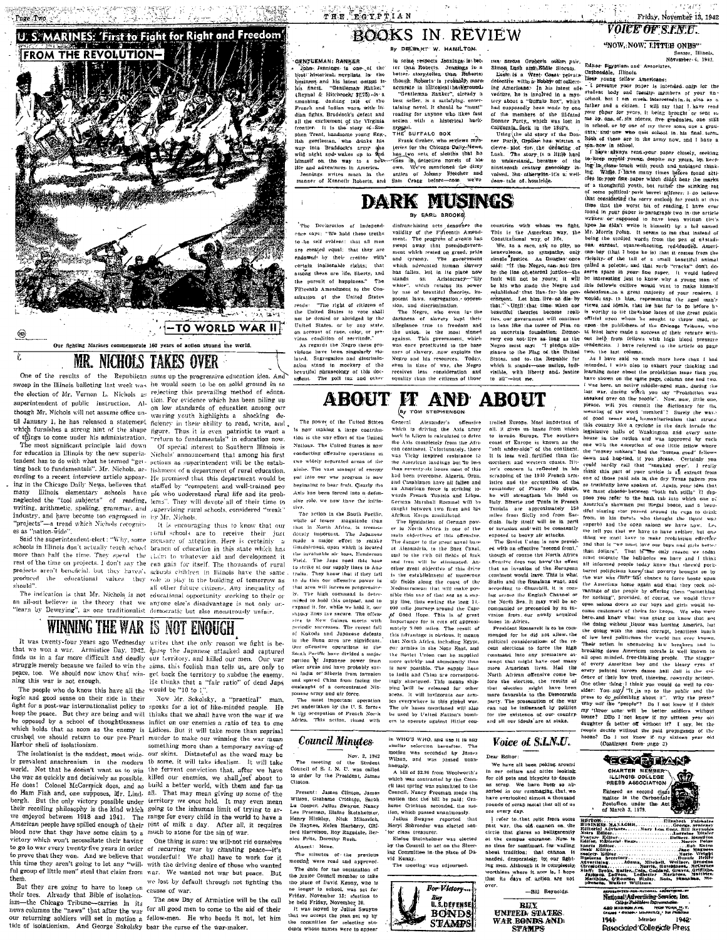

### MR. NICHOLS TAKES OVER T

One of the results of the Republican sums up the progressive education idea. And

The most significant principle laid down The most significant principle laid down Of special interest to Southern Illinois is<br>for education in Illinois by the new superint Nichols' announcement that among his first tendent has to do with what he termed "get- setions as superintendent will be the established in the stabting back to fundamentals". Mr. Nichols, ac- lishment of a department of rural education, ting oses to a necent interview article appear- He promised that this department would be<br>cording to a recent interview article appear- He promised that this department would be<br>ing in the Chicago Daily News, believes that ing in the Chicago Daily News, beheves that staffed by "competent and well-trained per<br>many llimois elementary sobools have pie who understand triaral life and its prob-<br>neglected the "tool subjects" of reading, lems". The "projects"-a trend which Nichols recogniz-

projects aren't beneficial, but they haven't schools children in Hinois have the same<br>produced the educational values they role to play in the building of tomorrow as should

sweep in the Illinois balloting last week was he would seem to be on solid ground in so the election of Mr. Vernon L. Nichols as rejecting this prevailing method of educathe election of Mr. Vernon L. Nichols as relevant for previewer the heater and our experimented and superintendent of public instruction. Al-<br>superior or victions with has been piling up<br>apperimented out to assume office

It is encouraging thus to know that our projects — arena when Nieharls recepture. It is encouraging that to know that our established as a "halton-wide". The example the reserved of a stream of a consider the same start of the specific term in the schools in Hil hould".<br>
all other future citizens. Any inequality of<br>
The indication is that Mr. Nichols is not educational opportunity working to their or an all-out believer in the theory that we anyone else's disadvantage is not only un-<br>"learn by Deweying", as one traditionalist democratic but also monstrously unfair.

# WINNING THE WAR IS NOT ENOUGH

ning this war is not enough.

logic and good sense on their side in their Now Mr. Sckolsky, a "practical" fight for a post-war internationalist policy to speaks for a lot of like-minded people. be opposed by a school of thoughtlessness inflict on our enemy is to the one which holds that as soon as the enemy is Lidices. But it will take more than reprisal crushed we should return to our pre-Pearl murder to make our winning the war mean Harbor shell of isolationism.

world. Not that he doesn't want us to win the fervent conviction that, after we have the war as quickly and decisively as possible. killed our enemies, we shall set about to He does! Colonel McCormick does, and so build a better world, with them and for us do Ham Fish and, one supposes, Mr. Lind. all. That may mean giving up some of the bergh. But the only victory possible under territory we once held. It may even mean their recoiling philosophy is the kind which going to the inhuman limit of trying to ar-<br>we enjoyed between 1918 and 1941. The range for every child in the world to have a American people have spilled enough of their pint of milk a day. After all, it requires blood nov that they have some claim to a much to atone for the sin of war victory which won't necessitate their having

em.<br>But they are going to have to keep on causes of war. Already that Bible of isolationtheir toes. then tools. Arrestay that obtained in the new Day of Armistice will be the call<br>ism—the Chicago Tribune—carries in its<br>new Day of Armistice will be the call<br>news columns the "news" that after the way for all good men to c

It was twenty-four years ago Wednesday writes that the only reason we fight is be that we won a war. Armistice Day, 1942, danse the Japanese attacked and captured us in a far more difficult and deadly our territory, and killed our men. Our war struggle merely because we failed to win the aims, this foolish man tells us, are only to peace, too. We should now know that win- get back the territory to subdue the enemy this war is not enough. We have get been the curritory to subdue the enemy.<br>The people who do know this have all the would be "10 to 1".

man eep the peace. But they are being and will thinks that we shall have won the war if we something more than a temporary saving of The isolationist is the saddest, most wide. our skins. Distanted all as the word may be<br>ly prevalent anachronism in the modern to some, it will take idealism. It will take

One thing is sure: we will-not rid ourselves become two will work that the general in order of recentring that the general to go to war every twenty when years in order of recentring was by channing peace—it's to prove that they won. And we believe that wonderful! We we lost by default through not fighting the

The new Day of Armistice will be the call our returning soldiers will set in motion a fellow-men. He who heeds it not, let him<br>tide of isolationism. And George Sokolsky bear the curse of the war-maker.

### THE EGYPTIAN **ROOKS IN REVIEW**

By DECBLRT W. HAMILTON

### John Jennings is one of the best historical, novellate in the business and his latest output is-

his finest. "Gentleman Ranker"<br>
(Reynal & Hitchwock; \$2755-15-a.<br>
smashing. dashing tale of the<br>
French and Indian wars, with If-<br>
dian fights, Braddock's defeat and all the excitement of the Virginia frontier. It is the story of Ste nien Trent, handsome voung Eng-, plen Tenti, liandaomo your Enfr.<br>Ikh gertlensa, who drinks his<br>way into Braddock's army open<br>with night net wakes ap to fleet<br>lines in the water in America.<br>Hie and adventures in America.<br>He and adventures in America.<br>mann

The Declaration of Independence says: "We hold these truths

GENTEEMAN: RANKER

 $n = 1$ 

in some respects Jennings is bet-<br>ter than Roberts. Jennings is n better story-teller, than Roberts,<br>better story-teller, than Roberts, sceneste in historicalibankeround. accurate in historical backgrounds<br>
"Gentlemman Ranker", already a<br>
best seller, is a satisfying, enter-<br>
taining morel. It should be "must"<br>
reading for anyone who likes fast<br>
accion with a historical back-

ground.<br>THE BUFFALO BOX THE BUFFALO BOX<br>
Frank Graber, who reviews mys-<br>
levies for the Chicago-Daily-News,<br>
hans low as at a sleading that has<br>
hang low as a sleading model the dizzy<br>
own. We've mentioned the dizzy<br>
Slahn Crasg Lefore-now. We've

**DARK MUSINGS** 

By EARL BROOKS

uses of slavery, .now exploits the

Negro and his resources. Today,<br>even in time of war, the Negro<br>receives less consideration and

equality than the citizens of thos

caught between two fires and his caught between two fires and his<br>Architan Korps annihilated.<br>The lignidation of German pow-<br>er in North Africa is one of the<br>main abjectives of this offensive.<br>The danger to the trent narral base<br>at Alexandria, to the Stee

and to the rich oil fields of Iraland from will be eliminated. An-

other great objective of this drive ouer great outgettive of this arrive<br>after the establishment of numberous<br>aft fields along the const of the<br>Mediterranean that will make pos<br>sible this use of that sea as a sup

ply line, thus ending the long 14. 000 mile journey around the Cape<br>of Good Hope. This is of grent

Importance for it cuts off approxi

Importance for it cuts off approximate for a proximately 3.000 miles. The result of<br>this advantage is obvious. It means<br>that Notth Africa, including Egypt,<br>our armites in the North Africa, including Egypt,<br>our armites in t

is now possible. The sunniv lines

Continents, line is the 1849's.<br>
Using the old story of the Don-<br>
ner Party Grapher has witten a cleve- plot for, the deducing of<br>
cleve- plot for, the deducing of<br>
Laat. The story is a little hard to understand, because o volved, but otherwise it's a well-<br>done tale of homicide.

dina. Italy 1881 will be in perti<br>of invasion and/will be constantly<br>exposed to beavy air attacks.<br>The Soviet Union is now provid-<br>ed with an effective "second front."<br>though of course the North Africa

chensive does not have the effect that an invasion of the Euronean continent would luave. This is what continent would inves Trias is what continue of<br>Station and the Russians wapt, and<br>according to Churchill, it is com-<br>ling ucross the English Channel or<br>the North Sea, It may well be ac-<br>companied or preceeded by an invasion from our newly acquired bases in Africa.

President Roosevelt is to be com-President Roosevelt is to be com-<br>mended for he did not allow, the<br>political considerations of the re-<br>cent elections to force the high<br>command into any premature attempt that might have cost many more American lives. Had the North African offensive come be North African offensive come be-<br>fore the election, the results of<br>that election might have been<br>more favorable to the Democratic<br>party. The prosecution of the war<br>can not be influenced by politics for the existence of our couns ountry

**EXERCT:** This case of the action of the contribution in the two two that is the contribution of the same of the contribution in the same of the same of the same of the same of the same of the same of the same of the same **IT AND ABOUT** 

From 1.0 min fines two thought the Highd was apply and the open salonn we have now. Let me tell you that we have to have enclude product the main and that is "we must love our boys and girls better than dollars". That is 

the doing without liquor was hurting America, but the doing without literar was hurring America, but<br>the doing with the most corrupt, heartiest bunch of low bred politicians the world has every known, Their extends in the someoring haw breakers and his parameter for the p every painted taveom dates hall dat is the evidence of their low tred, this<br>return, covarily actions, sident then  $\mu_1$  this<br>is youth value of the thing in the state of the pair of the pair of<br>sident: You say)  $^{\rm eff}$  is people decide without the paid propagands of the hooze? Do I not know if my sixteen year old hooze? (Continued from page 3)

**TECN DEANS** 

CHARTER MEMBER-

Entered as second class<br>matter in the Carbondale<br>Postoffice, under the Autor March 3, 1879.

Samor<br>- Editor<br>- Editorial - Pag

Voice of S.L.N.U.

Desir Rittory We have all been poking around

We have all been poking around<br>in our cellars and aftise looking<br>for old pois and bicycles to donate<br>as scrap. We have been so ab-<br>sorbed in our runnmaging, that, we<br>have overlooked almost a thousand<br>pounds of scrap metal see every day.

every any<br>
1 refer to that relic from some<br>
ast war, the old cannon on the<br>
trice that glares so belligerently<br>
1 the compuse entreper Now to at the compas entrance. Now is no time for sentiment, for wailing no mas or seatures in the cannot be<br>needed, desperately; by our fighting men. Although it is completely,<br>worthless where it now is, I hope that its days of action are not

-Bill Reynolds **BITY** UNITED STATES<br>WAR BONDS AND STAMPS

Norris, Hotchbeen, Warner, Hotchbeen, Batter, Colp, Goddard, Grave, Goddard, Grave, Goddard, Grave, Statter, Hutler, Hutler, Hatter, Hatter, Statter, Theorem, Theorem, Theorem, Theorem, Theorem, Theorem, Theorem, Theorem, National Advertising Service, Inc.

420 MADINGH AVE, NOW YORK N.Y.<br>CREWS \* 491149. LOLASSILO, SEE PUBLISCO 1941 Member 1942 **Pissocialed Collegiate Press** 

Friday, November 13, 1942 **VOICE OF S.F.N.U.** 

"NOW, NOW, LITTEE ONES"

Sesser, Illinois.<br>November 6, 1942.

care of the first state of the matter of the matter of the temperature of the matter of the matter of the matter of the matter of the matter of the matter of the matter of the matter of the matter of the matter of the mat

I have always read, young representingly, seeking<br>the lockeep myglif-young, despite my years, by ke-p-<br>ing like, desse touch with youth and unbiased that-<br>ing like, desse touch with youth and unbiased that-<br>ing. Willet-F time that the worst bit of reading. I have ever<br>found in your paper is paragraph two in the article



### diafranchising acts denomine the validity of the Fifteenth Amendment. The progress of events has separated a separation of the progress of events and the particle means ment which rested on greed, pride to be self evident: that all men are evented pount: that they are endowed by their creator with and tyranny. The government<br>which advocated haman slavery certain inalienable rights: that which advected human stayeer<br>has fallen, het in lie place now<br>stands an Aristocracy—"lily<br>white", which retains its power-<br>hy use of beautiful theories, im-<br>potent laws, segregation, oppresamong these are life, liberty, and the pursuit of humpiness." The Fifteenth Amendment to the Constitution of the United States reads: "The right of citizens of<br>the United States to vote shall sion, and discrimination.<br>sion, and discrimination.<br>The Negro, who even in- the<br>darkness of slavery kept their not be denied or abridged by the darkness of shavery kept then<br>alleglance true to freedom and<br>the union, is the most sinned<br>against. This government, which<br>was once prostituted to the base

not be denied or abridged by the<br>United States, or by any state,<br>on account of race, color, or pre-<br>vious condition of servitude."<br>As regulate the Negro these pro-<br>visions have been singularly vio-<br>hard. Segregation and di ation stand in mockery of the beautiful phraseology of this doc-

The power of the United States Ceneral is now inaking a large contribution in the way effort of the Daited Nations. The United States is now conducting offensive operations in two widely separated areas of the globe. The vast amount of energy than seventy-six hours most of this<br>had been overcome. Algeria, Oran,<br>and Casabilinca have nit fallen and<br>an American force is striking to-<br>wards French Tunisia and Libya. put into our war program is now beginning to bear fruit. Clearly the Axls has been forced into a defen-German Marshall Rominel will

**ABOUT** 

sive role, we now have the initia-<br>tive.<br>The action in the South Pacific, The ortion in the South Peelfice,<br>while of lesser magnitude than<br>that in North Africa, is tremen-<br>docusiy important. The Japanese<br>made a major effort to retake<br>the candidatoral, upon which is located<br>the invaluable air bas to do this our offensive power in that area will increase progressive that area will increase progressive-<br>by The high common is deter-<br>mixed to hold this outpoat, and to<br>expand it, for, while we hold it, our<br>supply these are secure. The offer-<br>sire in New Guinea meets with<br>projection succes of Kokoda and Japanese defeats of Kokoda and Japanese defeats<br>in the Buna area are significant.<br>Curt offensive operations in the<br>South Parific have divided a major<br>portion  $\mathbf{\hat{V}}^T$  Japanese power from<br>other areas and have probably sav-<br>ed India or S is now possible. The supply lines in<br>the property of the supply lines are corresponding internal with<br>property and the property of the mass supply property. It will invigate the news<br>rests. It will invigate the mass securi and spared China from facing the qualaught of a concentrated Nio

ouslauged of a concentrated Nip-<br>ponese army and air force.<br>The most important operation<br>set underfalsen by the U.S. force-<br>is tig occupation of Franch North<br>Africa. This action, timed with

**Council Minutes** 

Present: James Clinton, James Wilson, Grahame Crichton, Sarah Wisson, Gransame Crichton, Barsh Luchen, Sanay<br>Luchensen, Dialus Swayne, Nancy<br>Lee Freeman, Dialne Steinheimer,<br>Henry Hinkley, Nick Milosvich,<br>De Haynes, Helen Marberry, Office<br>ford Harrelson, Roy Ragssiate, Ber<br>nice Fritz

Absent: None.

The minutes of the previous<br>meeting were read and approved. The date for the nomination of the junior Council member to take

in place of David Reaga, who is<br>no longer is exhocl, was set for<br>Priday, November 13: election to<br>he held Friday, November 13: election<br>to<br>the held Reaga November 20.<br>The sample of the plane of up by<br>the consect the plane

in WHO'S WHO, and use it in any imflar selection hereafter motion was seconded by James<br>Wilson, and was passed upan-

A bill of \$2.96 from Woolworth's A bill of \$2.96 from Woolworth's<br>which was contracted by the Connell<br>cil last spring was submitted to the<br>Council. Nancy Freeman made the motion that the bill be paid; Gra

mouton that the bill be paid; Grandon that the mouton of the hand that is a same reported that May a second that the paid Solvector was elected senting Stephen that the paid of the state state of the label of the label of

by the Council to act on the Steer-<br>ing Committee in the place of Da-

vid Kenny. The meeting was adjourned.

 $For Vitery...$ 

*Bir*<br>U.S.DEFENSE

**BONDS** 

**STAMPS** 

Alexander's General Accounting models<br>which is driving the Axis army<br>back in Libya is calculated to drive the Axis completely from the African continent. Unfortunately, there was Vichy inspired resistance to the American landings but in less than seventy-six hours most of this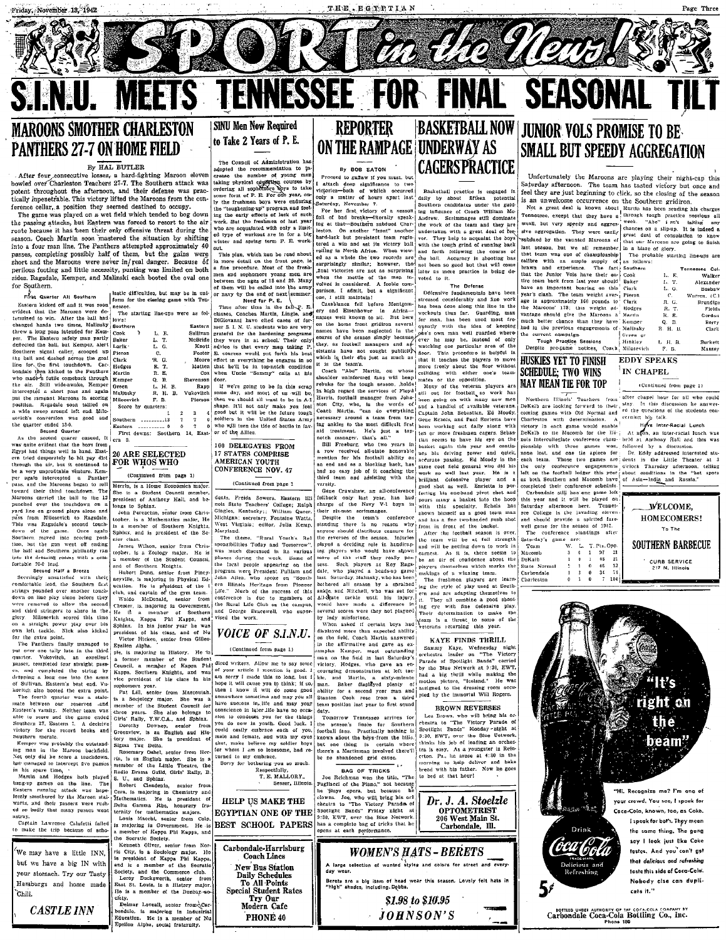NJ.

SPIOIRT a de Navol

Fields<br>Fields<br>Gordon<br>Herry<br>Clark

Burkett

Massey

L. H. B.

(Continued from page 1)

WELCOME.

HOMECOMERS!

### **ETS TENNESSEE FOR FINAL SEASONA SINU Men Now Required REPORTER MAROONS SMOTHER CHARLESTON** to Take 2 Years of P. E. **PANTHERS 27-7 ON HOME FIELD**

### By HAL BUTLER

ME

EV HAL BUTLER<br>After four consecutive losses, a hard-fighting Maroon eleven<br>bowled over Charleston Teachers 27-7. The Southern attack was potent throughout the afternoon, and their defense was prac-.<br>tically inpenetrable. This victory lifted the Marcons from the conference cellar, a position they seemed destined to occupy.

The game was played on a wet field which tended to bog down<br>the passing attacks, but Eastern was forced to resort to the air route because it has been their only offensive threat during the season. Coach Martin soon mastered the situation by shifting into a four man line. The Panthers attempted approximately 40 passes, completing possibly half of them, but the gains were short and the Marcons were never in/real danger. Because of perilous footing and little necessity, punting was limited on both sides. Ragsdale, Kemper, and Malinski each booted the oval one for Southern. lastic difficulties, but may be in uni-

Green

ern 9.

Malinsky

 $\mathbf{r}$ 

ັດ

Q. B.<br>L. H. B.

R. H. B.

F.B

Score by quarters:

.<br>Southern .........12

20 ARE SELECTED

topher, is a Zoology major.

of Southern Knights

a member of the Student Council

ree pressure of the case in the<br>pat Lill, senior from Mascoutan<br>is a Sociology major. She was<br>member of the Student Council to

three years. She also belongs to<br>Girls' Rally, Y.W.C.A., and Sphinx.

Radio Drama Guild, Girls' Raily, B

ciety.<br>Definar Loveall, senior from Car-<br>bondale, is majoring in Industrial<br>Education. He is a member of Nu<br>Epsilon Alpha, social fraternity.

senio from

Clendenin.

S. U., and Sphinz.<br>Robert Clenden

the Socratic Spelety.

clety

FOR WHOS WHO

longs to Sphinx.

First Quarter All Southern

Southern signal caller, scooped up pleron<br>the ball and dashed aeross the goal Clark<br>line for the first touchdown. Cat. Hodges<br>bondale then kicked to the Panthers Martin ine for, the arst touchasts. Later<br>who made a futile comeback through who made a futile comeback through<br>the air. Sill wide awake, Kemper<br>interplate a short pass and again<br>put the rampart Marcoons in scoring<br>put the rampar Kemper Milosevich position. Regsdale soon tallied on<br>a wide sweep around left end. Milosevich's conversion was good and the quarter ended 13-0.

the quarter engel 100.<br>Second Quarter<br>As the second quarter<br>asset of the behavior than the boys from<br>Egypt had things well in hand. East-<br>cent tried desperately to hit pay dirt. through the air, but it continued to be a very unprofitable venture. Kemper again intercepted a Panther pass, and the haroons negation. The Maroons carried the ball to the 12<br>Maroons carried the ball to the 12<br>punched over the touchdown on a<br>yard line on ground plays alone and pass from Milosevich to Ragsdale This was Ragsdale's second touch of the game. Once again down Southern moved into scoring post tion, but the gan went off ending<br>the half and Southern jubilantly ran<br>into the dressing rooms with a com-<br>fortable 20-0 lead.<br>Second Half a Breeze

Secondary and the state of the case of the case of the second Half a Breed and the secondary unsails<br>fied with their Hubert Dunn, senior from Piney-considerable leed, the Southern field usual<br>in. He is president of the lin strings pounded over another touch-<br>down on line play done before they<br>wrere removed to allow the second<br>and third stringers to share in the<br>glory. Milosevich scored this time<br>on a straight power play over his<br>on a straigh Waldo MoDonald, seator trom<br>Cheater, is majoring in Government.<br>He is a member of Southern Kulchus, Kappa and Southern Kulchis, Kappa and Southern<br>Sphinx. In his junior year he was<br>president of his cleas, and of Nu<br>Souther for the extra point.

The Panthers finally managed to The Pantilers finally miniaged to<br>put over one taily hate in the third<br>put over one tail plate in a cooler passer, completed four straight passes,<br>cs. and completed the string by<br>denoting a long one into the arms<br>for Still of Suituvan. Enterprise best each Vu-<br>include the extra point.<br>The foorth quarker was a state-<br>mate between our reserves and<br>found to the mate of the prince and the particular and<br>the control of the state and the state and

Gives Rally, Y.W.C.A., and Sphinx.<br>
Dorothy Downey, sealor from<br>
Greenview, is an English and His-<br>
tory major. She is president of<br>
Rosemary Oshel, senior from Her<br>
Rosemary Oshel, sealor from Her<br>
r.fn, is an English maj Kemper was probably the outstand-<br>ing man in the Marcon backfield. ing man in the Marcon Dackutau<br>Not only did he score a touchdown<br>hut managed to intercept five passes

nut managed to intercept five passes<br>in his space time,<br>Martin and Hodges hoth played<br>bang-up games on the line. The<br>Eastern rumting attack was hope-<br>lessly smothored by the Maroon stalwarts, and their passers were rushed so badly that many passes went astrav.

Captain Lawrence Calufetti falled<br>to make the trip because of scho-

We may have a little INN, but we have a big IN with your stomach. Try our Tasty Hamburgs and home made `Chili.

**CASTLE INN** 

The Council of Administration has<br>adopted the recommendation to increase the number of young men<br>taking physical educations by a course by<br>content of P. E. For one set there is one form of P. E. For one perhapsion<br>consider Iv the freshmen boys were enduring

I'm the resonation to you were changed the "toughering up" program and feel<br>ing the early effects of lack of such<br>writ. But the freshmen of last year<br>who are acquainted with only a limit<br>ed type of workout are in for a big the "toughening up" program and test<br>ing the early effects of lack of such<br>work. But the freshmen of last year<br>who are acquanted with only a limit-<br>ed type of workout are in for a big<br>winter and spring term P. E. workout. This plan, which han be read about in more detail on the front page, is a fine procedure. Most of the fresh men and sophomore young men are<br>between the ages of 18 and 20. Many<br>of them will be called into the army

of them will be called into the army<br>or nay by the end of next summer.<br>The atter time in the fail Q. E.<br>Time atter time in the fail Q. E.<br>classes. Coaches Martin, Lingle. and<br>DiGiovanni have cited cases of for-<br>DiGiovanni Eastern Sulliva McBride Knot

**Stevenso** If we're going to be in this scrap Rap) If were going to be in this scrap<br>some day, and most of us will be, then we should nil want to be in A-I<br>shown we should nil want to be in A-I<br>should nil want to be in A-I<br>should be should be the Little States Array<br>solide Vukovite Pierson Castern .............. 0 0 7 0<br>First downs: Southern 14, East

100 DELEGATES FROM 17 STATES COMPRISE CONFERENCE NOV. 47

### (Continued from page 1) (Continued from page 1 Herrin, is a Home Economics major She is a Student Council member

Re is

dents. Freida Sowers. Eastern III<br>nois State Teachers' Coilege; Raiph<br>Gingles, Kentucky:; William Queer.<br>Michigan; secretary, Fontaine Watts, president of Anthony Hail, and be comes to Spunnx.<br>
John Perenchio, sentor from Chris-<br>
topher, is a Mathematics major, He<br>
is a member of Southern Knights,<br>
Sphinx, and is president of the Se-West Virginia: editor, Julia Kenin Maryland. The theme. "Rural Youth's Re nior class.<br>James Wilson, senior from Chris

Figure 1. Figure 1. The monthleter of the monthleter and the week.<br>
The was much discussed in its various<br>
phases during the week. Some of<br>
the local people appearing on the program were President Puillam and<br>John Allen, who spoke on "South program were president Pulliam and Construct Program (construction of the state of the state of the state of the state of the state of the state of the state of the state of the state and contenue is due to members of the

**VOICE OF S.I.N.U.** 

Evalient Alpha.<br>
Species in majoring in History. He is<br>
a former member of the Student<br>
a former member of the Student<br>
Council, a member of Kappa Phil diced writers. Allow me to say some<br>
Council, a member of Kappa Phil then I know it will do some good omewhore sometime and may you all have success in, life and may your conscience in later life have no occaconsecuence in iglerative have no occur-<br>sion to condensit you for the things<br>you do now in youth. Good luck. I<br>could castly embrace each of you,<br>meter and female, and with my eyes<br>shut, make believe my soldier boys for whom I am so lonesome, had re turned to my embrace.

Sorry for bothering you so much.  $_{\rm{ref}}$  fully  $Re$ T. E. MALLORY. Sesser, Illinois

Consert Clendenin, senior from<br>Cora, is majoring in Chemistry and<br>Mathematics. He is president of<br>Delta Gamma Rho, honorary fra Cora, is majoring in chemically been been been been been able better that the president of the term of the term of the term of the control of the state of the state of the state of the state of the state of the state of th HELP US MAKE THE **EGYPTIAN ONE OF THE BEST SCHOOL PAPERS** is majoring in Government. He is<br>a member of Kappa Phi Kappa, and



By BOB EATON

Froced to guidar if you must, but<br>I attach deep significance to two<br>victories—both of which occurred<br>only a matter of hours apart last<br>Saturday, November 7. For her first victory of a season<br>full of bad breaks-diterally speak-

ing at that-Southern subdued Chairs<br>leston. On another "front" another final victories are not as surprising<br>when the mettle of the mean in-<br>volved is considered. A feeble com-<br>parison, I admit, but a significant<br>one, i still maintain!<br> $\alpha$  estimate of the constraints of the scale<br>manner and

ery and Eisenhower in Africaon the home front gridiron several

It is the team<br>informed fast will been limited by this contract the scheme of the scheme<br>of the contract of the contract information of the scheme of the base<br>in high regard the services of Plevial value of the version pl

convex of the Navy V-1 boys in with this speeding change of the Navy V-1 boys in with this speeding. Echois has<br>
there are the Navy V-1 boys in with this speeding. Echois has<br>
there are some conserved and has a fluor cond

on the field, Coach Martin answered

For the definition of the film and of the definition and the definition of the film and the set of the continue of  $\alpha$  and  $\alpha$  and  $\beta$  and  $\beta$  and  $\beta$  and  $\beta$  and  $\beta$  and  $\beta$  and  $\beta$  and  $\beta$  and  $\beta$  and  $\beta$  and be and Martin, a sixty-minute had a big thrill while making the second year. Baker displayed plenty or mass and assigned to the dreasing room occurrent and a size of the way ability for a second year man and assigned to th team position last year to first squad

team position last year to first squad duty.<br>Tomorrow Tennesseo arrives for<br>Tomorrow Tennesseo arrives for<br>the scason's finale for Southern<br>football fans. Practically nothing is known about the boys from the hills. but one thing is there's

BAG OF TRICKS<br>Joe Reichman won the title, "The<br>Pagliacel of the Plano," not because<br>"The same had because he

regiments of the risks, not because he covers. Joe, who will bring his orlines. eness so in the vectory ratation of the Shotlight Bands" Friday night at 9:30, EWT, over the Blue Network.<br>has a complete bag of tricks that he opens at each performance.



.<br>Bereta are a big item of head wear this season, Lovely felt hats it<br>"high" shadca, including.Dobbs.

\$1.98 to \$10.95

 $JOHNSON'S$ 

### **BASKETBALL NOW JUNIOR VOLS PROMISE TO BE** ON THE RAMPAGE UNDERWAY AS **SMALL BUT SPEEDY AGGREGATION** CAGERSPRACTICE

Basketball practice is engaged daily by about fifteen potential<br>Southern candidates under the guid-Southern candidates under the guid-<br>inglates under Southern Me-<br>Audrew. Scrimmages still dominate<br>the work of the team and they are<br>undertaken with a great deal of term<br>vor. They help to acquaint the boys<br>with the tough gr leaton. On another "front" another under sixten with a great deal of beyond. Another, but the state of a win and set its victory ball, with the touch grid of running back victory ball, with the touch grid of running back

Defermive fundamentals have been<br>stressed considerably and fine work<br>has been done along this line in the<br>workouts thus far. Guarding, man<br>for man, has been used most free<br>openity with the idea of keeping<br>openity with the DiGiovanni have clied cases of for-<br>in the home from traiting aveveral internal, has seen used more than<br>the line of the state of keeping properties and the results of the signature<br>internal that the state of the state of

none

Macomb DeKath

Carbondale<br>Charleston

KATE FINDS THEILLED SET THEIR CONTRACT DETAILS of the Victory Parade of Spotlight Bands" carried<br>porclestra leader on "The Victory Parade of Spotlight Bands" carried<br>by the Blue Network at 9:30, EWT,<br>had a big thrill while assigned to the dressing room occu

### **BROWN REVERSES**

Les Brown, who will bring his or-<br>chestra to "The Victory Parade of ecason's finale for Southern (chesiral to "The Victory Parade of the Law Party and II finale. Practically nothing in Spotlight Bands' Monday-rught at about the boys-from the bills. [3:30, EWT, over the Bine Ustwork, a Mar bread with his father. Now he goe to bed at that hour!



is an unweater of the Rockmetter of the Southern grid method and the Note and the Note and the Northern of Theorem and the method of the state of the state of the state of the state of the state of the state of the state o

Such<br>duel by the vanted Maroons of  $\frac{1}{2}$  and our Maroons are going to finish<br>last season. but we all remember in a blaze of giory<br>that then amplies with the mainless of chambionship of an amplies with a map<br>in the fun much better chance than they have Kemper mutri neutre chance than they have. Kemper<br>had in the previous engagements of Mathiasty<br>the current campaign.<br>Tough Practice Sessions<br>Despite pre-game notices, Coach Milosevich

**HUSKIES YET TO FINISH EDDY SPEAKS** IN CHAPEL **SCHEDULE: TWO WINS MAY MEAN TIE FOR TOP** 

after chapel hour for all who could<br>stay. In this discussion he answer-<br>ed the questions of the students con-Northern Illinois' Teachers from

Northern Illinois' Teachers from Stiffer chapel iour for all who could be considered to DeFail encodence of DeFail encoders of the students considered concerning games with OH Neumann and red the questions of the students three games won, followed by a discussion pionship with lost, and one tis apiece for Dr. Eddy addressed interested stunone loss, auto des autes anti-density de la Little Theater at 3<br>cach team. Those two games are details in the Little Theater at 3<br>beh can be conference ourspenses of clock Thursday afternoon, telling<br>left on the football

completed their conference schedule.<br>
Carbondale still has one game left this year and it will be played on.<br>
Saturday afternoon here. Tennes-Saturday afternoon here. Tennes-<br>see College is the javading elevent<br>and should provide a spirited fare-<br>well game for the season of 1942.<br>The conference standings after<br>Saturday's game are:<br>Team W. L. T. Pis. Opp.

> $\begin{array}{cc} 3 & 0 \\ 3 & 0 \end{array}$  $\frac{34}{7}$

To The SOUTHERN BARBECUE  $\begin{array}{ccc} 3 & 0 \\ 1 & 0 \\ 2 & 1 \end{array}$  $\blacksquare$  $\frac{97}{48}$  $\frac{21}{12}$ CURB SERVICE<br>217 N. Illinois

 $\frac{1}{104}$ 

"It's right on the beam' "Hi, Recognize me? I'm one of vour crowd. You see, I speak for  $\sim 2.55$ i <sup>yi</sup>se Coca-Cola, known, too, as Coke. I speak for both. They mean Drink the same thing. The gang say I look just like Coke (ôca foola tastes. And you can't get that delicious and refreshing lelicious ar<br>Refreshing taste this side of Coca-Cola. Nobody cise can dupli-5۶ cate it." FOTHER AUTHORITY OF THE COCA-COLA COMPANY BY<br>Carbondale Coca-Cola Bottling Co., Inc.

# roted to it. The Defense Défensive fundamentals have bee

watching one particular area of the<br>more field in the procedure is beighted in<br>that it teaches the players to move<br>more freely about the floor without more colliding with either one's team-<br>mates or the opposition.<br>Mary of

In granking to the most difficult first weak to the most difficult and a treatment. He's just a top the move freehane capacity and the most of the most of the most of the most of the most of the animal method in the secon

State Normal

KAYE FINDS THRILL